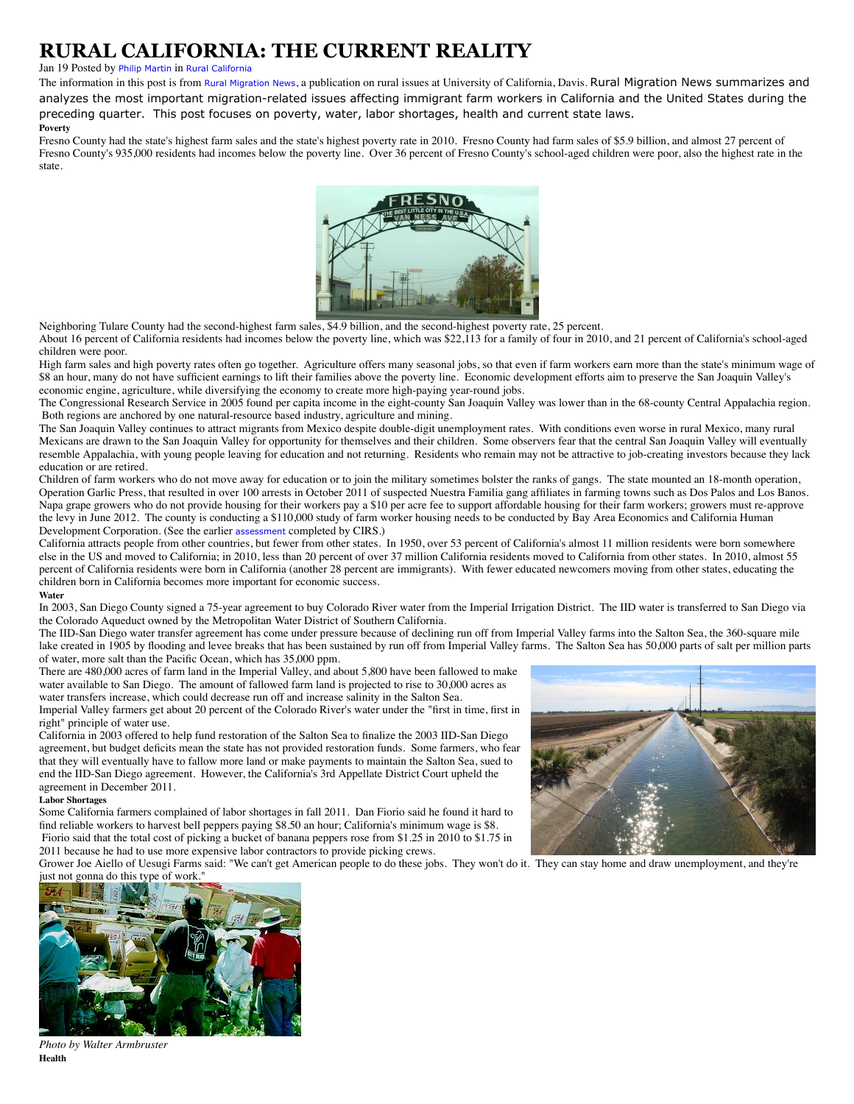# **RURAL CALIFORNIA: THE CURRENT REALITY**

## Jan 19 Posted by [Philip Martin](https://www.cirsinc.org/rural-california-report/blogger/listings/philip-martin) in [Rural California](https://www.cirsinc.org/rural-california-report/categories/listings/rural-california)

The information in this post is from [Rural Migration News](http://migration.ucdavis.edu/rmn/), a publication on rural issues at University of California, Davis. Rural Migration News summarizes and analyzes the most important migration-related issues affecting immigrant farm workers in California and the United States during the preceding quarter. This post focuses on poverty, water, labor shortages, health and current state laws.

#### **Poverty**

Fresno County had the state's highest farm sales and the state's highest poverty rate in 2010. Fresno County had farm sales of \$5.9 billion, and almost 27 percent of Fresno County's 935,000 residents had incomes below the poverty line. Over 36 percent of Fresno County's school-aged children were poor, also the highest rate in the state.



Neighboring Tulare County had the second-highest farm sales, \$4.9 billion, and the second-highest poverty rate, 25 percent. About 16 percent of California residents had incomes below the poverty line, which was \$22,113 for a family of four in 2010, and 21 percent of California's school-aged children were poor.

High farm sales and high poverty rates often go together. Agriculture offers many seasonal jobs, so that even if farm workers earn more than the state's minimum wage of \$8 an hour, many do not have sufficient earnings to lift their families above the poverty line. Economic development efforts aim to preserve the San Joaquin Valley's economic engine, agriculture, while diversifying the economy to create more high-paying year-round jobs.

The Congressional Research Service in 2005 found per capita income in the eight-county San Joaquin Valley was lower than in the 68-county Central Appalachia region. Both regions are anchored by one natural-resource based industry, agriculture and mining.

The San Joaquin Valley continues to attract migrants from Mexico despite double-digit unemployment rates. With conditions even worse in rural Mexico, many rural Mexicans are drawn to the San Joaquin Valley for opportunity for themselves and their children. Some observers fear that the central San Joaquin Valley will eventually resemble Appalachia, with young people leaving for education and not returning. Residents who remain may not be attractive to job-creating investors because they lack education or are retired.

Children of farm workers who do not move away for education or to join the military sometimes bolster the ranks of gangs. The state mounted an 18-month operation, Operation Garlic Press, that resulted in over 100 arrests in October 2011 of suspected Nuestra Familia gang affiliates in farming towns such as Dos Palos and Los Banos. Napa grape growers who do not provide housing for their workers pay a \$10 per acre fee to support affordable housing for their farm workers; growers must re-approve the levy in June 2012. The county is conducting a \$110,000 study of farm worker housing needs to be conducted by Bay Area Economics and California Human Development Corporation. (See the earlier [assessment](https://www.cirsinc.org/index.php/publications/section/5-major-studies.html) completed by CIRS.)

California attracts people from other countries, but fewer from other states. In 1950, over 53 percent of California's almost 11 million residents were born somewhere else in the US and moved to California; in 2010, less than 20 percent of over 37 million California residents moved to California from other states. In 2010, almost 55 percent of California residents were born in California (another 28 percent are immigrants). With fewer educated newcomers moving from other states, educating the children born in California becomes more important for economic success.

#### **Water**

In 2003, San Diego County signed a 75-year agreement to buy Colorado River water from the Imperial Irrigation District. The IID water is transferred to San Diego via the Colorado Aqueduct owned by the Metropolitan Water District of Southern California.

The IID-San Diego water transfer agreement has come under pressure because of declining run off from Imperial Valley farms into the Salton Sea, the 360-square mile lake created in 1905 by flooding and levee breaks that has been sustained by run off from Imperial Valley farms. The Salton Sea has 50,000 parts of salt per million parts of water, more salt than the Pacific Ocean, which has 35,000 ppm.

There are 480,000 acres of farm land in the Imperial Valley, and about 5,800 have been fallowed to make water available to San Diego. The amount of fallowed farm land is projected to rise to 30,000 acres as water transfers increase, which could decrease run off and increase salinity in the Salton Sea.

Imperial Valley farmers get about 20 percent of the Colorado River's water under the "first in time, first in right" principle of water use.

California in 2003 offered to help fund restoration of the Salton Sea to finalize the 2003 IID-San Diego agreement, but budget deficits mean the state has not provided restoration funds. Some farmers, who fear that they will eventually have to fallow more land or make payments to maintain the Salton Sea, sued to end the IID-San Diego agreement. However, the California's 3rd Appellate District Court upheld the agreement in December 2011.

#### **Labor Shortages**

Some California farmers complained of labor shortages in fall 2011. Dan Fiorio said he found it hard to find reliable workers to harvest bell peppers paying \$8.50 an hour; California's minimum wage is \$8. Fiorio said that the total cost of picking a bucket of banana peppers rose from \$1.25 in 2010 to \$1.75 in 2011 because he had to use more expensive labor contractors to provide picking crews.



Grower Joe Aiello of Uesugi Farms said: "We can't get American people to do these jobs. They won't do it. They can stay home and draw unemployment, and they're just not gonna do this type of work.



*Photo by Walter Armbruster* **Health**